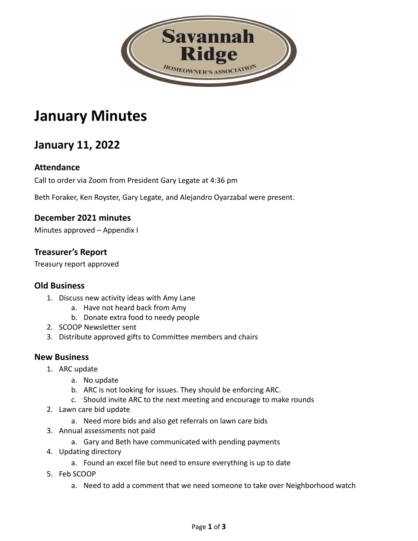

# **January Minutes**

## **January 11, 2022**

#### **Attendance**

Call to order via Zoom from President Gary Legate at 4:36 pm

Beth Foraker, Ken Royster, Gary Legate, and Alejandro Oyarzabal were present.

#### **December 2021 minutes**

Minutes approved – Appendix I

#### **Treasurer's Report**

Treasury report approved

#### **Old Business**

- 1. Discuss new activity ideas with Amy Lane
	- a. Have not heard back from Amy
	- b. Donate extra food to needy people
- 2. SCOOP Newsletter sent
- 3. Distribute approved gifts to Committee members and chairs

#### **New Business**

- 1. ARC update
	- a. No update
	- b. ARC is not looking for issues. They should be enforcing ARC.
	- c. Should invite ARC to the next meeting and encourage to make rounds
- 2. Lawn care bid update
	- a. Need more bids and also get referrals on lawn care bids
- 3. Annual assessments not paid
	- a. Gary and Beth have communicated with pending payments
- 4. Updating directory
	- a. Found an excel file but need to ensure everything is up to date
- 5. Feb SCOOP
	- a. Need to add a comment that we need someone to take over Neighborhood watch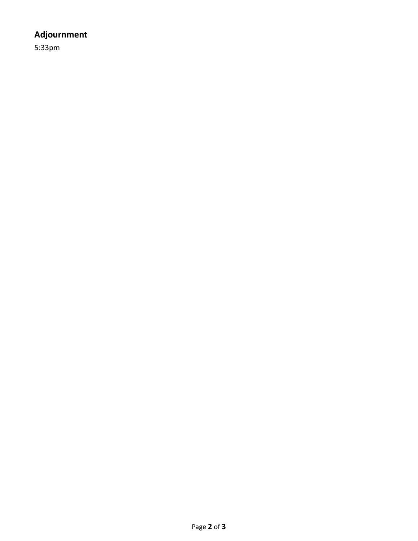### **Adjournment**

5:33pm